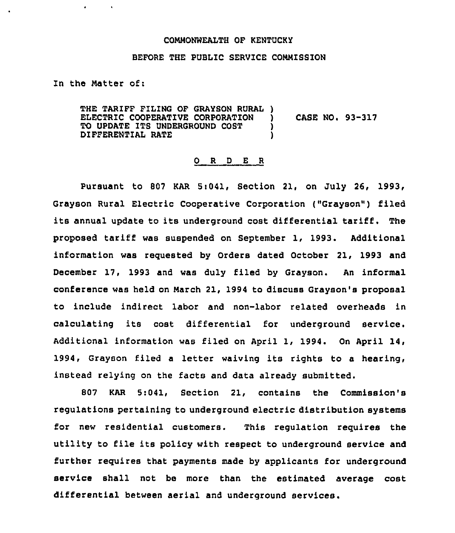## COMMONWEALTH OF KENTUCKY

## BEFORE THE PUBLIC SERVICE COMMISSION

In the Natter of:

THE TARIFF FILING OF GRAYSON RURAL ) ELECTRIC COOPERATIVE CORPORATION ) CASE NO. 93-317<br>TO UPDATE ITS UNDERGROUND COST ) TO UPDATE ITS UNDERGROUND COST  $\rule{1em}{0.55mm}$  ) DIFFERENTIAL RATE

## 0 R <sup>D</sup> E <sup>R</sup>

Pursuant to 807 KAR 5:041, Section 21, on July 26, 1993, Grayson Rural Electric Cooperative Corporation ("Grayson") filed its annual update to its underground cost differential tariff. The proposed tariff was suspended on September 1, 1993. Additional information was requested by Orders dated October 21, 1993 and December 17, 1993 and was duly filed by Grayson. An informal conference was held on march 21, 1994 to discuss Grayson's proposal to include indirect labor and non-labor related overheads in calculating its cost differential for underground service. Additional information was filed on April 1, 1994. On April 14, 1994, Grayson filed <sup>a</sup> letter waiving its rights to a hearing, instead relying on the facts and data already submitted.

807 KAR 5:041, Section 21, contains the Commission's regulations pertaining to underground electric distribution systems for new residential customers. This regulation requires the utility to file its policy with respect to underground service and further requires that payments made by applicants for underground service shall not be more than the estimated average cost differential between aerial and underground services.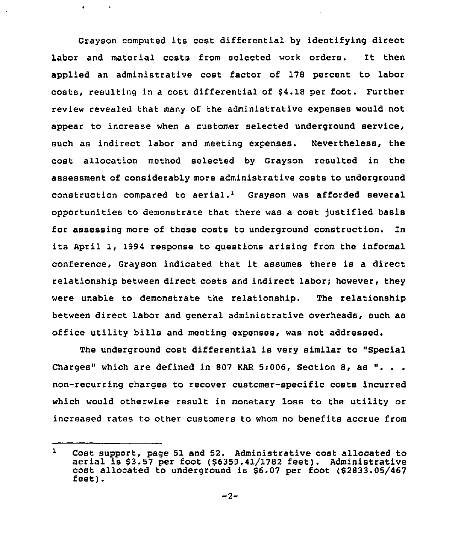Grayson computed its cost differential by identifying direct labor and material costs from selected work orders. It then applied an administrative cost factor of 178 percent to labor costs, resulting in a cost differential of \$4.18 per foot. Further review revealed that many of the administrative expenses would not appear to increase when a customer selected underground service, such as indirect labor and meeting expenses. Nevertheless, the cost allocation method selected by Grayson resulted in the assessment of considerably more administrative costs to underground construction compared to aerial.<sup>1</sup> Grayson was afforded several opportunities to demonstrate that there was a cost )ustified basis for assessing more of these costs to underground construction. In its April 1, 1994 response to questions arising from the informal conference, Grayson indicated that it assumes there is <sup>a</sup> direct relationship between direct costs and indirect labor; however, they were unable to demonstrate the relationship. The relationship between direct labor and general administrative overheads, such as office utility bills and meeting expenses, was not addressed.

The underground cost differential is very similar to "Special Charges" which are defined in 807 KAR 5:006, Section 8, as non-recurring charges to recover customer-specific costs incurred which would otherwise result in monetary loss to the utility or increased rates to other customers to whom no benefits accrue from

 $\mathbf{1}$ Cost support, page <sup>51</sup> and 52. Administrative cost allocated to aerial is \$3.57 per foot (\$6359.41/1782 feet). Administrative cost allocated to underground is \$6.07 per foot (\$2833.05/467 feet).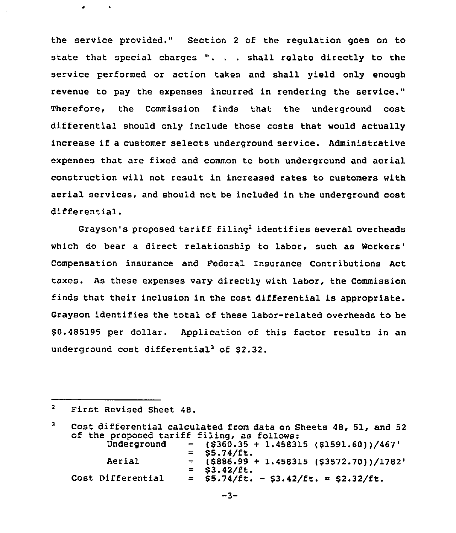the service provided." Section <sup>2</sup> of the regulation goes on to state that special charges ". . . shall relate directly to the service performed or action taken and shall yield only enough revenue to pay the expenses incurred in rendering the service." Therefore, the Commission finds that the underground cost differential should only include those costs that would actually increase if <sup>a</sup> customer selects underground service. Administrative expenses that are fixed and common to both underground and aerial construction will not result in increased rates to customers with aerial services, and should not be included in the underground cost differential.

Grayson's proposed tariff filing'dentifies several overheads which do bear a direct relationship to labor, such as Workers' Compensation insurance and Federal Insurance Contributions Act taxes. As these expenses vary directly with labor, the Commission finds that their inclusion in the cost differential is appropriate. Grayson identifies the total of these labor-related overheads to be \$ 0.485195 per dollar. Application of this factor results in an underground cost differential<sup>3</sup> of \$2.32.

 $\overline{\mathbf{2}}$ First Revised Sheet 48.

| 3 |                                            | Cost differential calculated from data on Sheets 48, 51, and 52 |
|---|--------------------------------------------|-----------------------------------------------------------------|
|   | of the proposed tariff filing, as follows: |                                                                 |
|   | Underground                                | $=$ (\$360.35 + 1.458315 (\$1591.60))/467'                      |
|   |                                            | $=$ \$5.74/ft.                                                  |
|   | Aerial                                     | $=$ (\$886.99 + 1.458315 (\$3572.70))/1782'                     |
|   |                                            | $=$ \$3.42/ft.                                                  |
|   | Cost Differential                          | $=$ \$5.74/ft. - \$3.42/ft. = \$2.32/ft.                        |